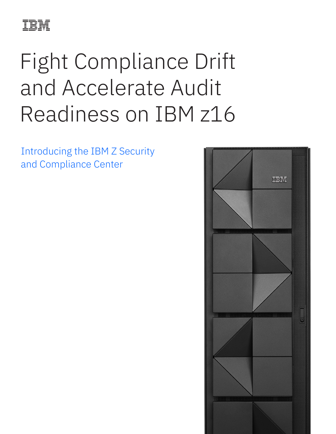

# Fight Compliance Drift and Accelerate Audit Readiness on IBM z16

Introducing the IBM Z Security and Compliance Center

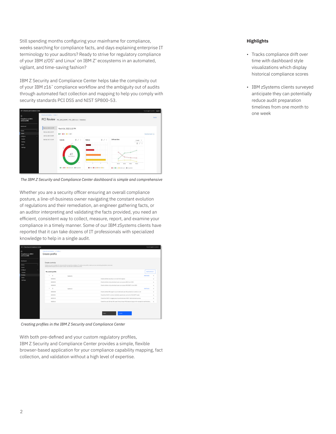Still spending months configuring your mainframe for compliance, weeks searching for compliance facts, and days explaining enterprise IT terminology to your auditors? Ready to strive for regulatory compliance of your IBM z/OS° and Linux° on IBM Z° ecosystems in an automated, vigilant, and time-saving fashion?

IBM Z Security and Compliance Center helps take the complexity out of your IBM z16™ compliance workflow and the ambiguity out of audits through automated fact collection and mapping to help you comply with security standards PCI DSS and NIST SP800-53.



*The IBM Z Security and Compliance Center dashboard is simple and comprehensive*

Whether you are a security officer ensuring an overall compliance posture, a line-of-business owner navigating the constant evolution of regulations and their remediation, an engineer gathering facts, or an auditor interpreting and validating the facts provided, you need an efficient, consistent way to collect, measure, report, and examine your compliance in a timely manner. Some of our IBM zSystems clients have reported that it can take dozens of IT professionals with specialized knowledge to help in a single audit.

| <b>IBM 2 Security and Compliance Center</b>      |                                                                                                                                                                                                                                                                 |                                                                                                  |                  | You are logged in as User 1. |  |  |  |  |
|--------------------------------------------------|-----------------------------------------------------------------------------------------------------------------------------------------------------------------------------------------------------------------------------------------------------------------|--------------------------------------------------------------------------------------------------|------------------|------------------------------|--|--|--|--|
| G<br>Compliance on IBM Z<br>and LinuxONE         | 2 Security and Compilan / Profiles /<br>Create profile                                                                                                                                                                                                          |                                                                                                  |                  |                              |  |  |  |  |
| Dashboard<br><b>Assess</b><br>Scans<br>Configure | Create controls<br>Profiles are used to vaidate the resources within a scope for compliance. To create a new profile, create your own controls by giving them a name and<br>adding predefined goals that you want to check. You may cell a profile at any time. |                                                                                                  |                  |                              |  |  |  |  |
| Scopes                                           | My custom profile                                                                                                                                                                                                                                               |                                                                                                  | Add Controls +   |                              |  |  |  |  |
| Profiles                                         | $\sim$<br>$\mathbf{1}$                                                                                                                                                                                                                                          | Control 1                                                                                        | <b>Add Goals</b> | ×                            |  |  |  |  |
| <b>Goals</b>                                     | 4080001                                                                                                                                                                                                                                                         | Check whether security is on in all CICS regions.                                                |                  | ×                            |  |  |  |  |
| Settings                                         | 4000003                                                                                                                                                                                                                                                         | Check whether only authorized users can access DB2 from CECS                                     |                  | ×                            |  |  |  |  |
|                                                  | 4000009                                                                                                                                                                                                                                                         | Check whether only authorized users can access IMS DBCTL from CICS                               |                  | $\times$                     |  |  |  |  |
|                                                  | $\sim$<br>$\mathbf{z}$                                                                                                                                                                                                                                          | Control 2                                                                                        | <b>Add Goals</b> | $\mathbf{x}$                 |  |  |  |  |
|                                                  | 4082008                                                                                                                                                                                                                                                         | Check whether MQ region's use of alternate user IDs protection is active or not                  |                  | $\mathbf{x}$                 |  |  |  |  |
|                                                  | 4083001                                                                                                                                                                                                                                                         | Check that RACF is active: installed, operational, and not in FAILSOFT mode                      |                  | $\times$                     |  |  |  |  |
|                                                  | 4083018                                                                                                                                                                                                                                                         | Check that RACF is logging security administrator (RACF administrator) access                    |                  | $\times$                     |  |  |  |  |
|                                                  | 4085014                                                                                                                                                                                                                                                         | Check the user ID that DNS uses if the primary HTO does not sign on for transaction authorizatio |                  | $\mathbf x$                  |  |  |  |  |
|                                                  |                                                                                                                                                                                                                                                                 | Back<br>Create                                                                                   |                  |                              |  |  |  |  |

*Creating profiles in the IBM Z Security and Compliance Center*

With both pre-defined and your custom regulatory profiles, IBM Z Security and Compliance Center provides a simple, flexible browser-based application for your compliance capability mapping, fact collection, and validation without a high level of expertise.

# **Highlights**

- Tracks compliance drift over time with dashboard style visualizations which display historical compliance scores
- IBM zSystems clients surveyed anticipate they can potentially reduce audit preparation timelines from one month to one week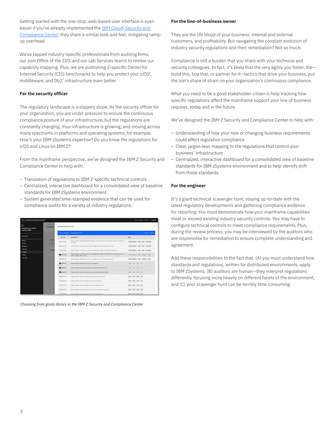Getting started with the one-stop, web-based user interface is even easier if you've already implemented the **IBM Cloud**<sup>®</sup> Security and [Compliance Center](https://www.ibm.com/cloud/security-and-compliance-center); they share a similar look and feel, mitigating rampup overhead.

We've tapped industry-specific professionals from auditing firms, our own Office of the CIO, and our Lab Services teams to review our capability mapping. Plus, we are publishing Z-specific Center for Internet Security (CIS) benchmarks to help you protect your z/OS<sup>®</sup>, middleware, and Db2® infrastructure even better.

# **For the security officer**

The regulatory landscape is a slippery slope. As the security officer for your organization, you are under pressure to ensure the continuous compliance posture of your infrastructure, but the regulations are constantly changing. Your infrastructure is growing, and moving across many spectrums in platforms and operating systems; for example, How's your IBM zSystems expertise? Do you know the regulations for z/OS and Linux on IBM Z?

From the mainframe perspective, we've designed the IBM Z Security and Compliance Center to help with:

- Translation of regulations to IBM Z-specific technical controls
- Centralized, interactive dashboard for a consolidated view of baseline standards for IBM zSystems environment
- System generated time-stamped evidence that can be used for compliance audits for a variety of industry regulations.

| IBM 2 Security and Compliance Center            |                                 |                           |                                                                                                                         | You are logged in as User 1<br>Log out |  |  |
|-------------------------------------------------|---------------------------------|---------------------------|-------------------------------------------------------------------------------------------------------------------------|----------------------------------------|--|--|
| G<br><b>Compliance on IBM Z</b><br>and LinuxONE | <b>Z</b> Security and<br>Create | ×<br>Global Goals Library |                                                                                                                         |                                        |  |  |
|                                                 |                                 |                           | 6 items selected   Select all 516 items                                                                                 | Done   Cancel                          |  |  |
| Dashboard                                       |                                 | Goal ID                   | Description                                                                                                             | Tags                                   |  |  |
| <b>Assess</b><br>Scans                          | Create<br><b>Products</b> as    | □4003003                  | Check whether TN3270E SNMP subagent community name is specfied when the subagent is<br>activated                        | COMM SERVER 18M 205 TN3270E            |  |  |
| Configure<br>٠                                  | controls t                      | □4003004                  | Check whether TN3270E servers are configured to audit important events                                                  | COMM SERVER 1894 205 TN3270E           |  |  |
| <b>Scopes</b><br><b>Profiles</b>                | Custo                           | $\Box$ 4003005            | Check whether TN3720E servers are configured to prevent specific LU takeover                                            | COMM SERVER 3BM 205 TN3270E            |  |  |
| Goals                                           |                                 | 20004001                  | Check whether CSSMTP servers are configured to always use AT-TLS to encrypt connections<br>to their target mail servers | COMM SERVER IBM CSSMTP ZOS             |  |  |
| <b>Settings</b>                                 |                                 | □4004002                  | Check whether CSSMTP servers are configured to audit important events                                                   | COMM SERVER 18M CSSMTP ZOS             |  |  |
|                                                 |                                 | 24080001                  | Check whether security is on in all CICS regions                                                                        | CICS 20S SIT<br><b>DRM</b>             |  |  |
|                                                 |                                 | 24080002                  | Check whether only authorized users can issue SP1 commands                                                              | ISM<br>CICS 20S SIT                    |  |  |
|                                                 |                                 | 24080003                  | Check whether only authorized users can access DB2 from CICS                                                            | CICS ZOS SIT<br>19M                    |  |  |
|                                                 |                                 | □4080004                  | Check whether only authorized users can access TD gueues                                                                | IBM CICS 20S SIT                       |  |  |
|                                                 |                                 | <b>FI4080005</b>          | Check whether only authorized users can access files.                                                                   | IBM CICS 20S SIT                       |  |  |
|                                                 |                                 | $\square$ 4080006         | Check whether only authorized users can access journals                                                                 | IBM CICS 205 SIT                       |  |  |
|                                                 |                                 | 0.4080007                 | Check whether only authorized users can run started transactions                                                        | IBM CICS ZOS SIT                       |  |  |
|                                                 |                                 | Cananona                  | Check whether only authorized users can run programs.                                                                   | TRM CICS 20S SIT                       |  |  |

*Choosing from goals library in the IBM Z Security and Compliance Center*

#### **For the line-of-business owner**

They are the life blood of your business: internal and external customers, and profitability. But navigating the constant evolution of industry security regulations and their remediation? Not so much.

Compliance is still a burden that you share with your technical and security colleagues. In fact, it's likely that the very agility you foster, the build this, buy that, or partner for it—tactics that drive your business, put the lion's share of strain on your organization's continuous compliance.

What you need to be a good stakeholder citizen is help tracking how specific regulations affect the mainframe support your line of business requires, today and in the future.

We've designed the IBM Z Security and Compliance Center to help with:

- Understanding of how your new or changing business requirements could affect regulation compliance
- Clear, jargon-less mapping to the regulations that control your business' infrastructure
- Centralized, interactive dashboard for a consolidated view of baseline standards for IBM zSystems environment and to help identify drift from those standards.

### **For the engineer**

It's a giant technical scavenger hunt, staying up-to-date with the latest regulatory developments and gathering compliance evidence for reporting. You must demonstrate how your mainframe capabilities meet or exceed existing industry security controls. You may have to configure technical controls to meet compliance requirements. Plus, during the review process, you may be interviewed by the auditors who are responsible for remediation to ensure complete understanding and agreement.

Add these responsibilities to the fact that: (A) you must understand how standards and regulations, written for distributed environments, apply to IBM zSystems; (B) auditors are human—they interpret regulations differently, focusing more heavily on different facets of the environment; and (C) your scavenger hunt can be terribly time consuming.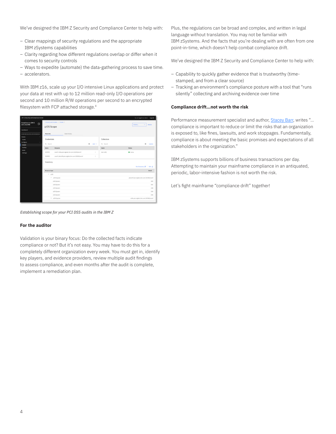We've designed the IBM Z Security and Compliance Center to help with:

- Clear mappings of security regulations and the appropriate IBM zSystems capabilities
- Clarity regarding how different regulations overlap or differ when it comes to security controls
- Ways to expedite (automate) the data-gathering process to save time. – accelerators.

With IBM z16, scale up your I/O intensive Linux applications and protect your data at rest with up to 12 million read-only I/O operations per second and 10 million R/W operations per second to an encrypted filesystem with FCP attached storage.<sup>4</sup>

| IBM 2 Security and Compilance Conter<br>You are logged in as User 1   Log out |               |                                               |                                |               |                                         |  |  |  |  |  |
|-------------------------------------------------------------------------------|---------------|-----------------------------------------------|--------------------------------|---------------|-----------------------------------------|--|--|--|--|--|
| Compliance on IBM Z<br>ि<br>and LinuxONE                                      | z/OS Scope    | Z Security and Compilan / Scopes /            | <b>Details</b><br>Actions<br>u |               |                                         |  |  |  |  |  |
| Dashboard                                                                     |               |                                               |                                |               |                                         |  |  |  |  |  |
| Automate security and compliance                                              | More info     | Event history.                                |                                |               |                                         |  |  |  |  |  |
| Assess<br>٨                                                                   | Credentials   |                                               |                                | Collectors    |                                         |  |  |  |  |  |
| Scans<br>Configure<br>$\mathcal{A}_\mathcal{C}$                               |               |                                               |                                |               |                                         |  |  |  |  |  |
| Scopes                                                                        | Q Search      |                                               | Ġ<br>$Add +$                   | Q. Search     | e<br>Update                             |  |  |  |  |  |
| Profiles                                                                      | Name          | Resource                                      |                                | <b>Name</b>   | <b>Status</b>                           |  |  |  |  |  |
| Goals<br>Settings                                                             | ZOSMF1        | zosmf=cbBa.pok.stglabs.ibm.com:32208/zosmf    | H.                             | test-coll1    | <b>O</b> Active                         |  |  |  |  |  |
|                                                                               | ZOSMF2        | zosmf+pkstc09.pok.stglabs.ibm.com:32208/zosmf | ÷                              |               |                                         |  |  |  |  |  |
|                                                                               | Inventory     |                                               |                                |               | Run Discovery IP<br>Edit 2              |  |  |  |  |  |
|                                                                               | Resource type |                                               |                                | <b>Detail</b> |                                         |  |  |  |  |  |
|                                                                               | $A$ z/OS      |                                               |                                |               |                                         |  |  |  |  |  |
|                                                                               |               | $\sim$ 2/0S Sysplex                           |                                |               | pkstc09.pok.stglabs.ibm.com:32208/zosmf |  |  |  |  |  |
| z/OS System                                                                   |               |                                               |                                |               |                                         |  |  |  |  |  |
|                                                                               | coc           |                                               |                                |               |                                         |  |  |  |  |  |
|                                                                               |               | z/OS System                                   |                                |               | $O$ 08                                  |  |  |  |  |  |
|                                                                               |               | z/OS System                                   |                                |               | 000                                     |  |  |  |  |  |
|                                                                               |               | z/OS System                                   |                                |               | COA                                     |  |  |  |  |  |
|                                                                               |               | $\times$ z/OS Sysplex                         |                                |               | cb8a.pok.stglabs.ibm.com:32208/zosmf    |  |  |  |  |  |
|                                                                               |               |                                               |                                |               |                                         |  |  |  |  |  |

*Establishing scope for your PCI DSS audits in the IBM Z* 

### **For the auditor**

Validation is your binary focus: Do the collected facts indicate compliance or not? But it's not easy. You may have to do this for a completely different organization every week. You must get in, identify key players, and evidence providers, review multiple audit findings to assess compliance, and even months after the audit is complete, implement a remediation plan.

Plus, the regulations can be broad and complex, and written in legal language without translation. You may not be familiar with IBM zSystems. And the facts that you're dealing with are often from one point-in-time, which doesn't help combat compliance drift.

We've designed the IBM Z Security and Compliance Center to help with:

- Capability to quickly gather evidence that is trustworthy (timestamped, and from a clear source)
- Tracking an environment's compliance posture with a tool that "runs silently" collecting and archiving evidence over time

#### **Compliance drift…not worth the risk**

Performance measurement specialist and author, [Stacey Barr](https://www.staceybarr.com/measure-up/), writes "… compliance is important to reduce or limit the risks that an organization is exposed to, like fines, lawsuits, and work stoppages. Fundamentally, compliance is about meeting the basic promises and expectations of all stakeholders in the organization."

IBM zSystems supports billions of business transactions per day. Attempting to maintain your mainframe compliance in an antiquated, periodic, labor-intensive fashion is not worth the risk.

Let's fight mainframe "compliance drift" together!